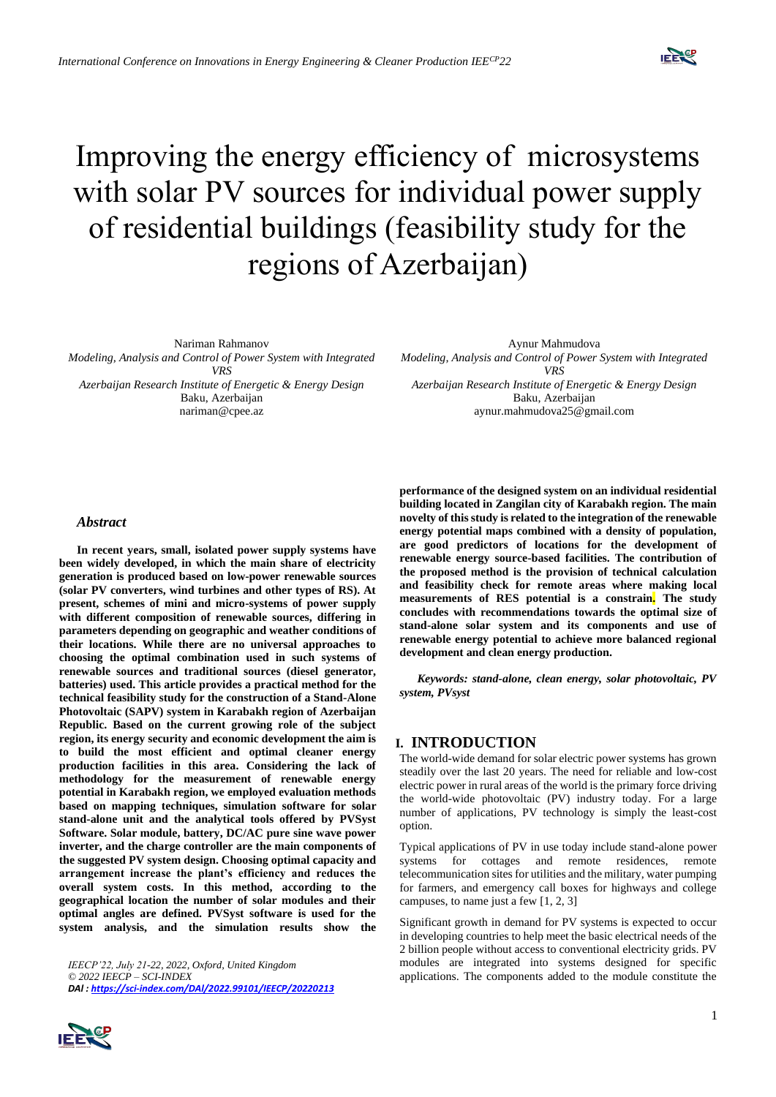

# Improving the energy efficiency of microsystems with solar PV sources for individual power supply of residential buildings (feasibility study for the regions of Azerbaijan)

Nariman Rahmanov *Modeling, Analysis and Control of Power System with Integrated VRS Azerbaijan Research Institute of Energetic & Energy Design* Baku, Azerbaijan nariman@cpee.az

Aynur Mahmudova

*Modeling, Analysis and Control of Power System with Integrated VRS*

*Azerbaijan Research Institute of Energetic & Energy Design* Baku, Azerbaijan aynur.mahmudova25@gmail.com

#### *Abstract*

**In recent years, small, isolated power supply systems have been widely developed, in which the main share of electricity generation is produced based on low-power renewable sources (solar PV converters, wind turbines and other types of RS). At present, schemes of mini and micro-systems of power supply with different composition of renewable sources, differing in parameters depending on geographic and weather conditions of their locations. While there are no universal approaches to choosing the optimal combination used in such systems of renewable sources and traditional sources (diesel generator, batteries) used. This article provides a practical method for the technical feasibility study for the construction of a Stand-Alone Photovoltaic (SAPV) system in Karabakh region of Azerbaijan Republic. Based on the current growing role of the subject region, its energy security and economic development the aim is to build the most efficient and optimal cleaner energy production facilities in this area. Considering the lack of methodology for the measurement of renewable energy potential in Karabakh region, we employed evaluation methods based on mapping techniques, simulation software for solar stand-alone unit and the analytical tools offered by PVSyst Software. Solar module, battery, DC/AC pure sine wave power inverter, and the charge controller are the main components of the suggested PV system design. Choosing optimal capacity and arrangement increase the plant's efficiency and reduces the overall system costs. In this method, according to the geographical location the number of solar modules and their optimal angles are defined. PVSyst software is used for the system analysis, and the simulation results show the** 

*IEECP'22, July 21-22, 2022, Oxford, United Kingdom © 2022 IEECP – SCI-INDEX DAl [: https://sci-index.com/DAl/2022.99101/IEECP/20220213](https://sci-index.com/DAl/2022.99101/IEECP/20220213)*



**performance of the designed system on an individual residential building located in Zangilan city of Karabakh region. The main novelty of this study is related to the integration of the renewable energy potential maps combined with a density of population, are good predictors of locations for the development of renewable energy source-based facilities. The contribution of the proposed method is the provision of technical calculation and feasibility check for remote areas where making local measurements of RES potential is a constrain. The study concludes with recommendations towards the optimal size of stand-alone solar system and its components and use of renewable energy potential to achieve more balanced regional development and clean energy production.** 

*Keywords: stand-alone, clean energy, solar photovoltaic, PV system, PVsyst*

## **I. INTRODUCTION**

The world-wide demand for solar electric power systems has grown steadily over the last 20 years. The need for reliable and low-cost electric power in rural areas of the world is the primary force driving the world-wide photovoltaic (PV) industry today. For a large number of applications, PV technology is simply the least-cost option.

Typical applications of PV in use today include stand-alone power systems for cottages and remote residences, remote telecommunication sites for utilities and the military, water pumping for farmers, and emergency call boxes for highways and college campuses, to name just a few [1, 2, 3]

Significant growth in demand for PV systems is expected to occur in developing countries to help meet the basic electrical needs of the 2 billion people without access to conventional electricity grids. PV modules are integrated into systems designed for specific applications. The components added to the module constitute the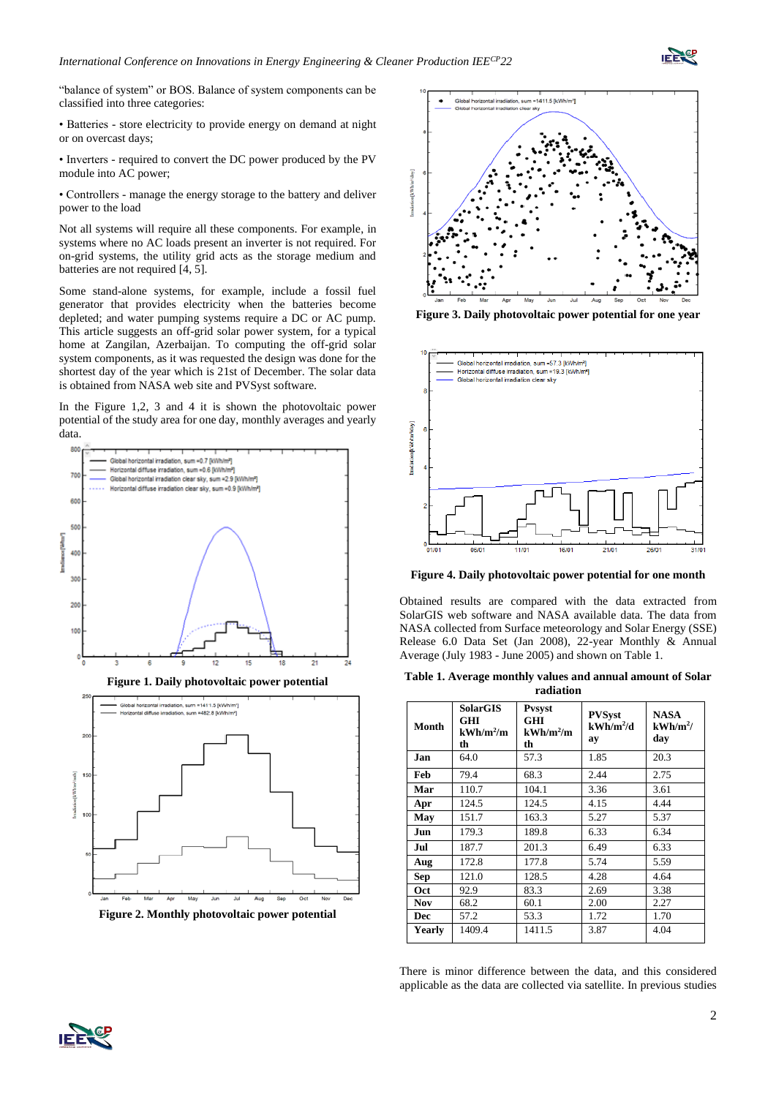

"balance of system" or BOS. Balance of system components can be classified into three categories:

• Batteries - store electricity to provide energy on demand at night or on overcast days;

• Inverters - required to convert the DC power produced by the PV module into AC power;

• Controllers - manage the energy storage to the battery and deliver power to the load

Not all systems will require all these components. For example, in systems where no AC loads present an inverter is not required. For on-grid systems, the utility grid acts as the storage medium and batteries are not required [4, 5].

Some stand-alone systems, for example, include a fossil fuel generator that provides electricity when the batteries become depleted; and water pumping systems require a DC or AC pump. This article suggests an off-grid solar power system, for a typical home at Zangilan, Azerbaijan. To computing the off-grid solar system components, as it was requested the design was done for the shortest day of the year which is 21st of December. The solar data is obtained from NASA web site and PVSyst software.

In the Figure 1,2, 3 and 4 it is shown the photovoltaic power potential of the study area for one day, monthly averages and yearly data.



**Figure 1. Daily photovoltaic power potential**



**Figure 2. Monthly photovoltaic power potential**



**Figure 3. Daily photovoltaic power potential for one year**



**Figure 4. Daily photovoltaic power potential for one month**

Obtained results are compared with the data extracted from SolarGIS web software and NASA available data. The data from NASA collected from Surface meteorology and Solar Energy (SSE) Release 6.0 Data Set (Jan 2008), 22-year Monthly & Annual Average (July 1983 - June 2005) and shown on Table 1.

**Table 1. Average monthly values and annual amount of Solar radiation**

| Month      | <b>SolarGIS</b><br>GHI<br>$kWh/m^2/m$<br>th | <b>Pysyst</b><br><b>GHI</b><br>$kWh/m^2/m$<br>th | <b>PVSyst</b><br>$kWh/m^2/d$<br>ay | <b>NASA</b><br>$kWh/m^2/$<br>dav |  |  |  |  |
|------------|---------------------------------------------|--------------------------------------------------|------------------------------------|----------------------------------|--|--|--|--|
| Jan        | 64.0                                        | 57.3                                             | 1.85                               | 20.3                             |  |  |  |  |
| Feb        | 79.4                                        | 68.3                                             | 2.44                               | 2.75                             |  |  |  |  |
| Mar        | 110.7                                       | 104.1                                            | 3.36                               | 3.61                             |  |  |  |  |
| Apr        | 124.5                                       | 124.5                                            | 4.15                               | 4.44                             |  |  |  |  |
| May        | 151.7                                       | 163.3                                            | 5.27                               | 5.37                             |  |  |  |  |
| Jun        | 179.3                                       | 189.8                                            | 6.33                               | 6.34                             |  |  |  |  |
| Jul        | 187.7                                       | 201.3                                            | 6.49                               | 6.33                             |  |  |  |  |
| Aug        | 172.8                                       | 177.8                                            | 5.74                               | 5.59                             |  |  |  |  |
| <b>Sep</b> | 121.0                                       | 128.5                                            | 4.28                               | 4.64                             |  |  |  |  |
| Oct        | 92.9                                        | 83.3                                             | 2.69                               | 3.38                             |  |  |  |  |
| Nov        | 68.2                                        | 60.1                                             | 2.00                               | 2.27                             |  |  |  |  |
| Dec        | 57.2                                        | 53.3                                             | 1.72                               | 1.70                             |  |  |  |  |
| Yearly     | 1409.4                                      | 1411.5                                           | 3.87                               | 4.04                             |  |  |  |  |

There is minor difference between the data, and this considered applicable as the data are collected via satellite. In previous studies

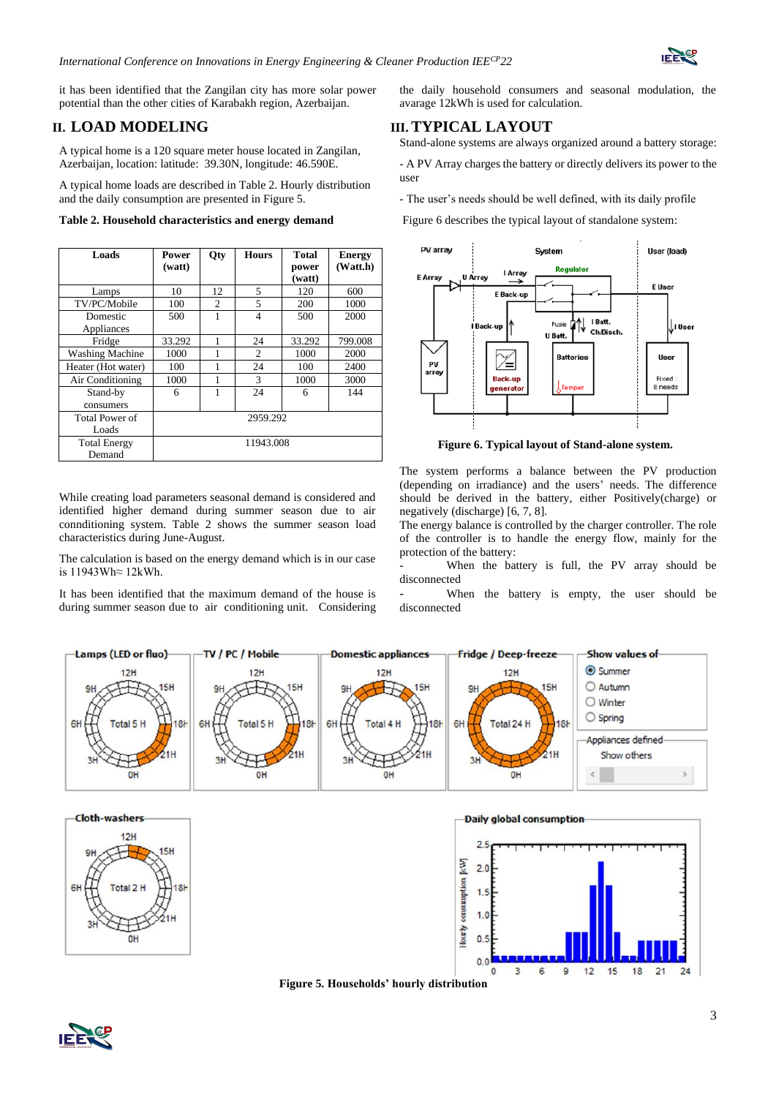

it has been identified that the Zangilan city has more solar power potential than the other cities of Karabakh region, Azerbaijan.

## **II. LOAD MODELING**

A typical home is a 120 square meter house located in Zangilan, Azerbaijan, location: latitude: 39.30N, longitude: 46.590E.

A typical home loads are described in Table 2. Hourly distribution and the daily consumption are presented in Figure 5.

|  | Table 2. Household characteristics and energy demand |  |
|--|------------------------------------------------------|--|
|--|------------------------------------------------------|--|

| Loads                  | Power<br>(watt) | <b>Qty</b>     | <b>Hours</b>   | <b>Total</b><br>power | <b>Energy</b><br>(Watt.h) |  |  |
|------------------------|-----------------|----------------|----------------|-----------------------|---------------------------|--|--|
|                        |                 |                |                | (watt)                |                           |  |  |
| Lamps                  | 10              | 12             | 5              | 120                   | 600                       |  |  |
| TV/PC/Mobile           | 100             | $\overline{c}$ | 5              | 200                   | 1000                      |  |  |
| Domestic               | 500             |                | $\overline{4}$ | 500                   | 2000                      |  |  |
| Appliances             |                 |                |                |                       |                           |  |  |
| Fridge                 | 33.292          |                | 24             | 33.292                | 799.008                   |  |  |
| <b>Washing Machine</b> | 1000            |                | 2              | 1000                  | 2000                      |  |  |
| Heater (Hot water)     | 100             |                | 24             | 100                   | 2400                      |  |  |
| Air Conditioning       | 1000            |                | 3              | 1000                  | 3000                      |  |  |
| Stand-by               | 6               | 1              | 24             | 6                     | 144                       |  |  |
| consumers              |                 |                |                |                       |                           |  |  |
| <b>Total Power of</b>  | 2959.292        |                |                |                       |                           |  |  |
| Loads                  |                 |                |                |                       |                           |  |  |
| <b>Total Energy</b>    | 11943.008       |                |                |                       |                           |  |  |
| Demand                 |                 |                |                |                       |                           |  |  |

While creating load parameters seasonal demand is considered and identified higher demand during summer season due to air connditioning system. Table 2 shows the summer season load characteristics during June-August.

The calculation is based on the energy demand which is in our case is 11943Wh≈ 12kWh.

It has been identified that the maximum demand of the house is during summer season due to air conditioning unit. Considering the daily household consumers and seasonal modulation, the avarage 12kWh is used for calculation.

## **III. TYPICAL LAYOUT**

Stand-alone systems are always organized around a battery storage:

- A PV Array charges the battery or directly delivers its power to the user

- The user's needs should be well defined, with its daily profile

Figure 6 describes the typical layout of standalone system:



**Figure 6. Typical layout of Stand-alone system.**

The system performs a balance between the PV production (depending on irradiance) and the users' needs. The difference should be derived in the battery, either Positively(charge) or negatively (discharge) [6, 7, 8].

The energy balance is controlled by the charger controller. The role of the controller is to handle the energy flow, mainly for the protection of the battery:

When the battery is full, the PV array should be disconnected

When the battery is empty, the user should be disconnected





**Figure 5. Households' hourly distribution**

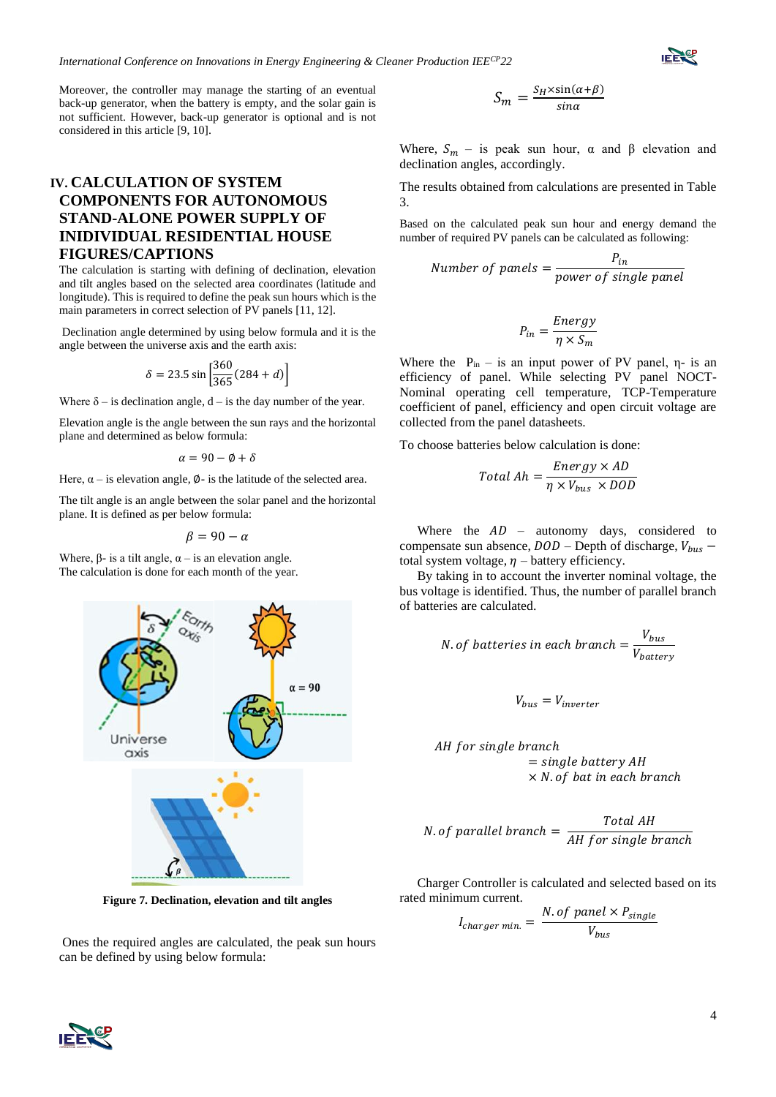Moreover, the controller may manage the starting of an eventual back-up generator, when the battery is empty, and the solar gain is not sufficient. However, back-up generator is optional and is not considered in this article [9, 10].

# **IV. CALCULATION OF SYSTEM COMPONENTS FOR AUTONOMOUS STAND-ALONE POWER SUPPLY OF INIDIVIDUAL RESIDENTIAL HOUSE FIGURES/CAPTIONS**

The calculation is starting with defining of declination, elevation and tilt angles based on the selected area coordinates (latitude and longitude). This is required to define the peak sun hours which is the main parameters in correct selection of PV panels [11, 12].

Declination angle determined by using below formula and it is the angle between the universe axis and the earth axis:

$$
\delta = 23.5 \sin \left[ \frac{360}{365} (284 + d) \right]
$$

Where  $\delta$  – is declination angle, d – is the day number of the year.

Elevation angle is the angle between the sun rays and the horizontal plane and determined as below formula:

 $\alpha = 90 - \emptyset + \delta$ 

Here,  $\alpha$  – is elevation angle,  $\varphi$ - is the latitude of the selected area.

The tilt angle is an angle between the solar panel and the horizontal plane. It is defined as per below formula:

$$
\beta = 90 - \alpha
$$

Where,  $\beta$ - is a tilt angle,  $\alpha$  – is an elevation angle. The calculation is done for each month of the year.



**Figure 7. Declination, elevation and tilt angles**

Ones the required angles are calculated, the peak sun hours can be defined by using below formula:

$$
S_m = \frac{S_H \times \sin(\alpha + \beta)}{\sin \alpha}
$$

Where,  $S_m$  – is peak sun hour,  $\alpha$  and  $\beta$  elevation and declination angles, accordingly.

The results obtained from calculations are presented in Table 3.

Based on the calculated peak sun hour and energy demand the number of required PV panels can be calculated as following:

Number of panels = 
$$
\frac{P_{in}}{power \ of \ single \ panel}
$$

$$
P_{in} = \frac{Energy}{\eta \times S_m}
$$

Where the  $P_{in}$  – is an input power of PV panel,  $\eta$ - is an efficiency of panel. While selecting PV panel NOCT-Nominal operating cell temperature, TCP-Temperature coefficient of panel, efficiency and open circuit voltage are collected from the panel datasheets.

To choose batteries below calculation is done:

$$
Total Ah = \frac{Energy \times AD}{\eta \times V_{bus} \times DOD}
$$

Where the  $AD$  – autonomy days, considered to compensate sun absence,  $DOD -$ Depth of discharge,  $V_{bus}$  – total system voltage,  $\eta$  – battery efficiency.

By taking in to account the inverter nominal voltage, the bus voltage is identified. Thus, the number of parallel branch of batteries are calculated.

*N. of batteries in each branch* = 
$$
\frac{V_{bus}}{V_{battery}}
$$

 $\overline{r}$ 

$$
V_{bus} = V_{inverter}
$$

*AH for single branch*  
= single battery *AH*  

$$
\times
$$
 *N. of bat in each branch*

*N. of parallel branch* = 
$$
\frac{Total AH}{AH for single branch}
$$

Charger Controller is calculated and selected based on its rated minimum current.

$$
I_{charge\ min.} = \frac{N. \ of \ panel \times P_{single}}{V_{bus}}
$$



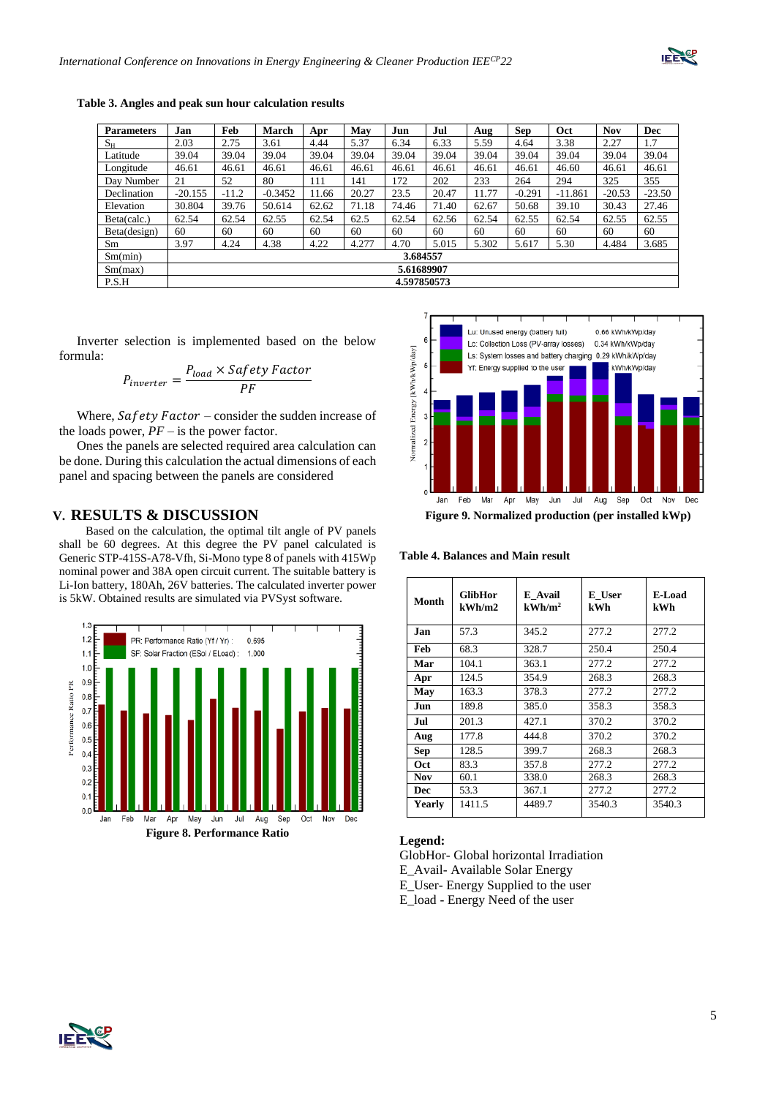

| <b>Parameters</b> | Jan        | Feb         | <b>March</b> | Apr   | May   | Jun   | Jul   | Aug   | <b>Sep</b> | Oct       | <b>Nov</b> | <b>Dec</b> |
|-------------------|------------|-------------|--------------|-------|-------|-------|-------|-------|------------|-----------|------------|------------|
| $S_{\rm H}$       | 2.03       | 2.75        | 3.61         | 4.44  | 5.37  | 6.34  | 6.33  | 5.59  | 4.64       | 3.38      | 2.27       | 1.7        |
| Latitude          | 39.04      | 39.04       | 39.04        | 39.04 | 39.04 | 39.04 | 39.04 | 39.04 | 39.04      | 39.04     | 39.04      | 39.04      |
| Longitude         | 46.61      | 46.61       | 46.61        | 46.61 | 46.61 | 46.61 | 46.61 | 46.61 | 46.61      | 46.60     | 46.61      | 46.61      |
| Day Number        | 21         | 52          | 80           | 111   | 141   | 172   | 202   | 233   | 264        | 294       | 325        | 355        |
| Declination       | $-20.155$  | $-11.2$     | $-0.3452$    | 11.66 | 20.27 | 23.5  | 20.47 | 11.77 | $-0.291$   | $-11.861$ | $-20.53$   | $-23.50$   |
| Elevation         | 30.804     | 39.76       | 50.614       | 62.62 | 71.18 | 74.46 | 71.40 | 62.67 | 50.68      | 39.10     | 30.43      | 27.46      |
| Beta(calc.)       | 62.54      | 62.54       | 62.55        | 62.54 | 62.5  | 62.54 | 62.56 | 62.54 | 62.55      | 62.54     | 62.55      | 62.55      |
| Beta(design)      | 60         | 60          | 60           | 60    | 60    | 60    | 60    | 60    | 60         | 60        | 60         | 60         |
| Sm                | 3.97       | 4.24        | 4.38         | 4.22  | 4.277 | 4.70  | 5.015 | 5.302 | 5.617      | 5.30      | 4.484      | 3.685      |
| Sm(min)           | 3.684557   |             |              |       |       |       |       |       |            |           |            |            |
| Sm(max)           | 5.61689907 |             |              |       |       |       |       |       |            |           |            |            |
| P.S.H             |            | 4.597850573 |              |       |       |       |       |       |            |           |            |            |

**Table 3. Angles and peak sun hour calculation results**

Inverter selection is implemented based on the below formula:

$$
P_{\text{inverter}} = \frac{P_{\text{load}} \times \text{Safety Factor}}{PF}
$$

Where,  $Safety$  Factor – consider the sudden increase of the loads power,  $PF -$  is the power factor.

Ones the panels are selected required area calculation can be done. During this calculation the actual dimensions of each panel and spacing between the panels are considered

## **V. RESULTS & DISCUSSION**

 Based on the calculation, the optimal tilt angle of PV panels shall be 60 degrees. At this degree the PV panel calculated is Generic STP-415S-A78-Vfh, Si-Mono type 8 of panels with 415Wp nominal power and 38A open circuit current. The suitable battery is Li-Ion battery, 180Ah, 26V batteries. The calculated inverter power is 5kW. Obtained results are simulated via PVSyst software.





**Table 4. Balances and Main result**

| Month      | GlibHor<br>kWh/m2 | E Avail<br>kWh/m <sup>2</sup> | E User<br>kWh | E-Load<br>kWh |
|------------|-------------------|-------------------------------|---------------|---------------|
| Jan.       | 57.3              | 345.2                         | 277.2         | 277.2         |
| Feb        | 68.3              | 328.7                         | 250.4         | 250.4         |
| Mar        | 104.1             | 363.1                         | 277.2         | 277.2         |
| Apr        | 124.5             | 354.9                         | 268.3         | 268.3         |
| May        | 163.3             | 378.3                         | 277.2         | 277.2         |
| Jun        | 189.8             | 385.0                         | 358.3         | 358.3         |
| Jul        | 201.3             | 427.1                         | 370.2         | 370.2         |
| Aug        | 177.8             | 444.8                         | 370.2         | 370.2         |
| <b>Sep</b> | 128.5             | 399.7                         | 268.3         | 268.3         |
| Oct        | 83.3              | 357.8                         | 277.2         | 277.2         |
| Nov        | 60.1              | 338.0                         | 268.3         | 268.3         |
| Dec        | 53.3              | 367.1                         | 277.2         | 277.2         |
| Yearly     | 1411.5            | 4489.7                        | 3540.3        | 3540.3        |

#### **Legend:**

GlobHor- Global horizontal Irradiation E\_Avail- Available Solar Energy E\_User- Energy Supplied to the user E\_load - Energy Need of the user